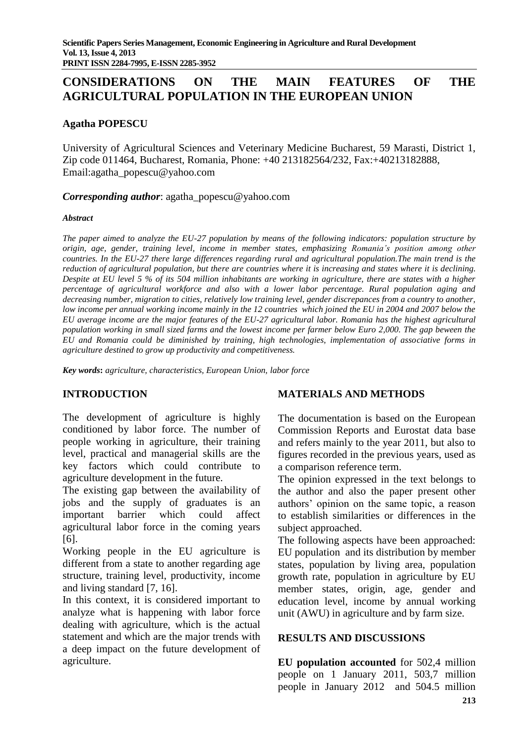# **CONSIDERATIONS ON THE MAIN FEATURES OF THE AGRICULTURAL POPULATION IN THE EUROPEAN UNION**

### **Agatha POPESCU**

University of Agricultural Sciences and Veterinary Medicine Bucharest, 59 Marasti, District 1, Zip code 011464, Bucharest, Romania, Phone: +40 213182564/232, Fax:+40213182888, Email:agatha\_popescu@yahoo.com

*Corresponding author*: agatha\_popescu@yahoo.com

#### *Abstract*

*The paper aimed to analyze the EU-27 population by means of the following indicators: population structure by origin, age, gender, training level, income in member states, emphasizing Romania's position among other countries. In the EU-27 there large differences regarding rural and agricultural population.The main trend is the reduction of agricultural population, but there are countries where it is increasing and states where it is declining. Despite at EU level 5 % of its 504 million inhabitants are working in agriculture, there are states with a higher percentage of agricultural workforce and also with a lower labor percentage. Rural population aging and decreasing number, migration to cities, relatively low training level, gender discrepances from a country to another, low income per annual working income mainly in the 12 countries which joined the EU in 2004 and 2007 below the EU average income are the major features of the EU-27 agricultural labor. Romania has the highest agricultural population working in small sized farms and the lowest income per farmer below Euro 2,000. The gap beween the EU and Romania could be diminished by training, high technologies, implementation of associative forms in agriculture destined to grow up productivity and competitiveness.*

*Key words***:** *agriculture, characteristics, European Union, labor force*

### **INTRODUCTION**

The development of agriculture is highly conditioned by labor force. The number of people working in agriculture, their training level, practical and managerial skills are the key factors which could contribute to agriculture development in the future.

The existing gap between the availability of jobs and the supply of graduates is an important barrier which could affect agricultural labor force in the coming years [6].

Working people in the EU agriculture is different from a state to another regarding age structure, training level, productivity, income and living standard [7, 16].

In this context, it is considered important to analyze what is happening with labor force dealing with agriculture, which is the actual statement and which are the major trends with a deep impact on the future development of agriculture.

### **MATERIALS AND METHODS**

The documentation is based on the European Commission Reports and Eurostat data base and refers mainly to the year 2011, but also to figures recorded in the previous years, used as a comparison reference term.

The opinion expressed in the text belongs to the author and also the paper present other authors' opinion on the same topic, a reason to establish similarities or differences in the subject approached.

The following aspects have been approached: EU population and its distribution by member states, population by living area, population growth rate, population in agriculture by EU member states, origin, age, gender and education level, income by annual working unit (AWU) in agriculture and by farm size.

### **RESULTS AND DISCUSSIONS**

**EU population accounted** for 502,4 million people on 1 January 2011, 503,7 million people in January 2012 and 504.5 million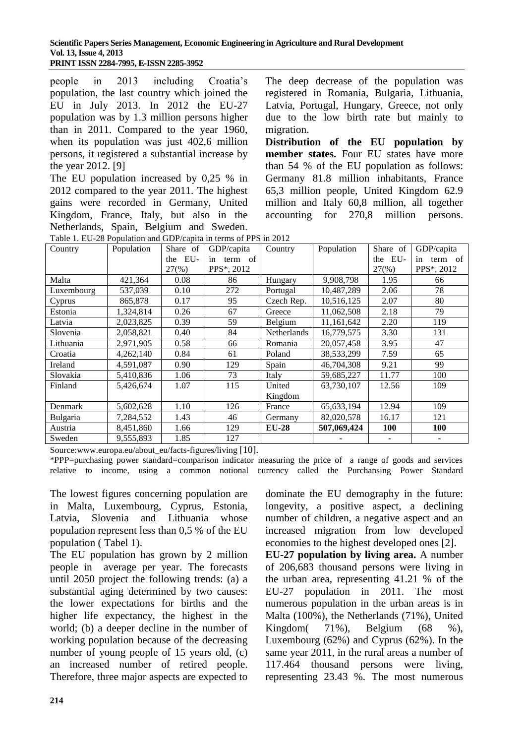#### **Scientific Papers Series Management, Economic Engineering in Agriculture and Rural Development Vol. 13, Issue 4, 2013 PRINT ISSN 2284-7995, E-ISSN 2285-3952**

people in 2013 including Croatia's population, the last country which joined the EU in July 2013. In 2012 the EU-27 population was by 1.3 million persons higher than in 2011. Compared to the year 1960, when its population was just 402,6 million persons, it registered a substantial increase by the year 2012. [9]

The EU population increased by 0,25 % in 2012 compared to the year 2011. The highest gains were recorded in Germany, United Kingdom, France, Italy, but also in the Netherlands, Spain, Belgium and Sweden.

The deep decrease of the population was registered in Romania, Bulgaria, Lithuania, Latvia, Portugal, Hungary, Greece, not only due to the low birth rate but mainly to migration.

**Distribution of the EU population by member states.** Four EU states have more than 54 % of the EU population as follows: Germany 81.8 million inhabitants, France 65,3 million people, United Kingdom 62.9 million and Italy 60,8 million, all together accounting for 270,8 million persons.

| Country    | Population | Share of | radio 1. Do 20 I optimitoli and ODI/capita in terms of 11 D in 2012<br>GDP/capita | Country            | Population   | Share of   | GDP/capita    |
|------------|------------|----------|-----------------------------------------------------------------------------------|--------------------|--------------|------------|---------------|
|            |            | the EU-  | term of<br>in                                                                     |                    |              | the EU-    | term of<br>in |
|            |            | $27(\%)$ | PPS*, 2012                                                                        |                    |              | $27(\%)$   | PPS*, 2012    |
| Malta      | 421,364    | 0.08     | 86                                                                                | Hungary            | 9,908,798    | 1.95       | 66            |
| Luxembourg | 537,039    | 0.10     | 272                                                                               | Portugal           | 10,487,289   | 2.06       | 78            |
| Cyprus     | 865,878    | 0.17     | 95                                                                                | Czech Rep.         | 10,516,125   | 2.07       | 80            |
| Estonia    | 1,324,814  | 0.26     | 67                                                                                | Greece             | 11,062,508   | 2.18       | 79            |
| Latvia     | 2,023,825  | 0.39     | 59                                                                                | Belgium            | 11,161,642   | 2.20       | 119           |
| Slovenia   | 2,058,821  | 0.40     | 84                                                                                | <b>Netherlands</b> | 16,779,575   | 3.30       | 131           |
| Lithuania  | 2,971,905  | 0.58     | 66                                                                                | Romania            | 20,057,458   | 3.95       | 47            |
| Croatia    | 4,262,140  | 0.84     | 61                                                                                | Poland             | 38,533,299   | 7.59       | 65            |
| Ireland    | 4,591,087  | 0.90     | 129                                                                               | Spain              | 46,704,308   | 9.21       | 99            |
| Slovakia   | 5,410,836  | 1.06     | 73                                                                                | Italy              | 59,685,227   | 11.77      | 100           |
| Finland    | 5,426,674  | 1.07     | 115                                                                               | United             | 63,730,107   | 12.56      | 109           |
|            |            |          |                                                                                   | Kingdom            |              |            |               |
| Denmark    | 5,602,628  | 1.10     | 126                                                                               | France             | 65, 633, 194 | 12.94      | 109           |
| Bulgaria   | 7,284,552  | 1.43     | 46                                                                                | Germany            | 82,020,578   | 16.17      | 121           |
| Austria    | 8,451,860  | 1.66     | 129                                                                               | <b>EU-28</b>       | 507,069,424  | <b>100</b> | <b>100</b>    |
| Sweden     | 9,555,893  | 1.85     | 127                                                                               |                    |              |            |               |

Table 1. EU-28 Population and GDP/capita in terms of PPS in 2012

Source:www.europa.eu/about\_eu/facts-figures/living [10].

\*PPP=purchasing power standard=comparison indicator measuring the price of a range of goods and services relative to income, using a common notional currency called the Purchansing Power Standard

The lowest figures concerning population are in Malta, Luxembourg, Cyprus, Estonia, Latvia, Slovenia and Lithuania whose population represent less than 0,5 % of the EU population ( Tabel 1).

The EU population has grown by 2 million people in average per year. The forecasts until 2050 project the following trends: (a) a substantial aging determined by two causes: the lower expectations for births and the higher life expectancy, the highest in the world; (b) a deeper decline in the number of working population because of the decreasing number of young people of 15 years old, (c) an increased number of retired people. Therefore, three major aspects are expected to dominate the EU demography in the future: longevity, a positive aspect, a declining number of children, a negative aspect and an increased migration from low developed economies to the highest developed ones [2].

**EU-27 population by living area.** A number of 206,683 thousand persons were living in the urban area, representing 41.21 % of the EU-27 population in 2011. The most numerous population in the urban areas is in Malta (100%), the Netherlands (71%), United Kingdom( 71%), Belgium (68 %), Luxembourg (62%) and Cyprus (62%). In the same year 2011, in the rural areas a number of 117.464 thousand persons were living, representing 23.43 %. The most numerous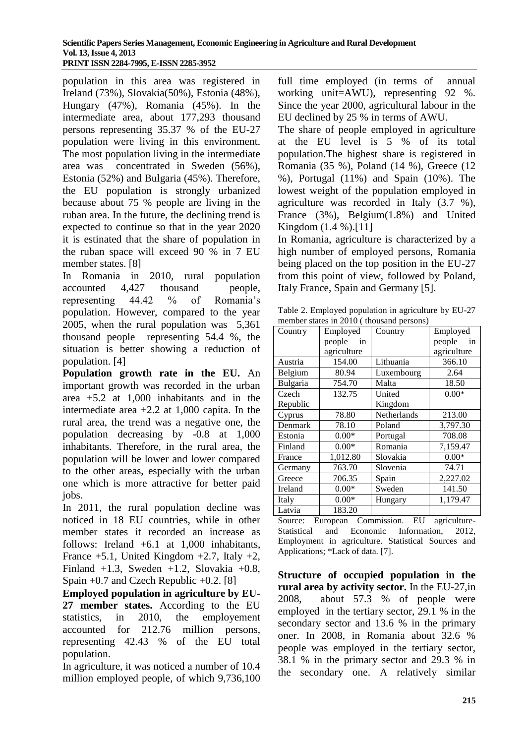population in this area was registered in Ireland (73%), Slovakia(50%), Estonia (48%), Hungary (47%), Romania (45%). In the intermediate area, about 177,293 thousand persons representing 35.37 % of the EU-27 population were living in this environment. The most population living in the intermediate area was concentrated in Sweden (56%), Estonia (52%) and Bulgaria (45%). Therefore, the EU population is strongly urbanized because about 75 % people are living in the ruban area. In the future, the declining trend is expected to continue so that in the year 2020 it is estinated that the share of population in the ruban space will exceed 90 % in 7 EU member states. [8]

In Romania in 2010, rural population accounted 4,427 thousand people, representing 44.42 % of Romania's population. However, compared to the year 2005, when the rural population was 5,361 thousand people representing 54.4 %, the situation is better showing a reduction of population. [4]

**Population growth rate in the EU.** An important growth was recorded in the urban area +5.2 at 1,000 inhabitants and in the intermediate area +2.2 at 1,000 capita. In the rural area, the trend was a negative one, the population decreasing by -0.8 at 1,000 inhabitants. Therefore, in the rural area, the population will be lower and lower compared to the other areas, especially with the urban one which is more attractive for better paid jobs.

In 2011, the rural population decline was noticed in 18 EU countries, while in other member states it recorded an increase as follows: Ireland  $+6.1$  at 1,000 inhabitants, France  $+5.1$ , United Kingdom  $+2.7$ , Italy  $+2$ , Finland  $+1.3$ , Sweden  $+1.2$ , Slovakia  $+0.8$ , Spain +0.7 and Czech Republic +0.2. [8]

**Employed population in agriculture by EU-27 member states.** According to the EU statistics, in 2010, the employement accounted for 212.76 million persons, representing 42.43 % of the EU total population.

In agriculture, it was noticed a number of 10.4 million employed people, of which 9,736,100 full time employed (in terms of annual working unit=AWU), representing 92 %. Since the year 2000, agricultural labour in the EU declined by 25 % in terms of AWU.

The share of people employed in agriculture at the EU level is 5 % of its total population.The highest share is registered in Romania (35 %), Poland (14 %), Greece (12 %), Portugal (11%) and Spain (10%). The lowest weight of the population employed in agriculture was recorded in Italy (3.7 %), France (3%), Belgium(1.8%) and United Kingdom (1.4 %).[11]

In Romania, agriculture is characterized by a high number of employed persons, Romania being placed on the top position in the EU-27 from this point of view, followed by Poland, Italy France, Spain and Germany [5].

Table 2. Employed population in agriculture by EU-27 member states in 2010 ( thousand persons)

| Country          | Employed     | Country     | Employed     |  |
|------------------|--------------|-------------|--------------|--|
|                  | people<br>in |             | people<br>in |  |
|                  | agriculture  |             | agriculture  |  |
| Austria          | 154.00       | Lithuania   | 366.10       |  |
| Belgium          | 80.94        | Luxembourg  | 2.64         |  |
| Bulgaria         | 754.70       | Malta       | 18.50        |  |
| Czech            | 132.75       | United      | $0.00*$      |  |
| Republic         |              | Kingdom     |              |  |
| Cyprus           | 78.80        | Netherlands | 213.00       |  |
| Denmark          | 78.10        | Poland      | 3,797.30     |  |
| Estonia          | $0.00*$      | Portugal    | 708.08       |  |
| Finland          | $0.00*$      | Romania     | 7,159.47     |  |
| France           | 1,012.80     | Slovakia    | $0.00*$      |  |
| Germany          | 763.70       | Slovenia    | 74.71        |  |
| Greece           | 706.35       | Spain       | 2,227.02     |  |
| Ireland          | $0.00*$      | Sweden      | 141.50       |  |
| $0.00*$<br>Italy |              | Hungary     | 1,179.47     |  |
| Latvia           | 183.20       |             |              |  |

Source: European Commission. EU agriculture-Statistical and Economic Information, 2012, Employment in agriculture. Statistical Sources and Applications; \*Lack of data. [7].

**Structure of occupied population in the rural area by activity sector.** In the EU-27,in 2008, about 57.3 % of people were employed in the tertiary sector, 29.1 % in the secondary sector and 13.6 % in the primary oner. In 2008, in Romania about 32.6 % people was employed in the tertiary sector, 38.1 % in the primary sector and 29.3 % in the secondary one. A relatively similar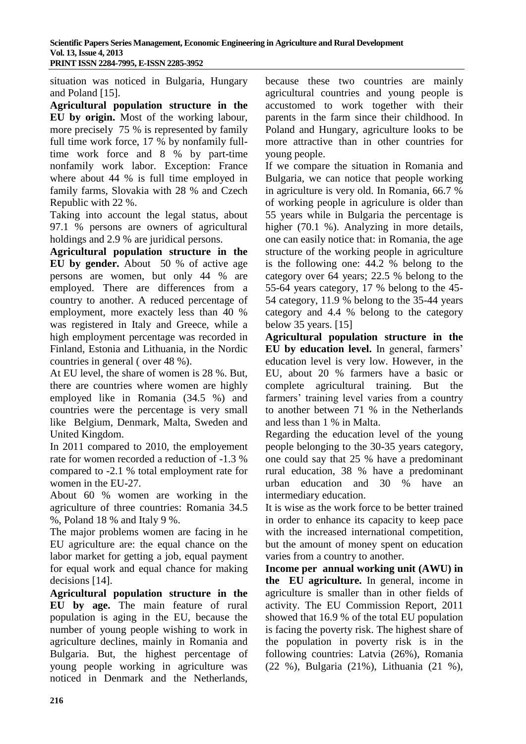situation was noticed in Bulgaria, Hungary and Poland [15].

**Agricultural population structure in the EU by origin.** Most of the working labour, more precisely 75 % is represented by family full time work force, 17 % by nonfamily fulltime work force and 8 % by part-time nonfamily work labor. Exception: France where about 44 % is full time employed in family farms, Slovakia with 28 % and Czech Republic with 22 %.

Taking into account the legal status, about 97.1 % persons are owners of agricultural holdings and 2.9 % are juridical persons.

**Agricultural population structure in the EU by gender.** About 50 % of active age persons are women, but only 44 % are employed. There are differences from a country to another. A reduced percentage of employment, more exactely less than 40 % was registered in Italy and Greece, while a high employment percentage was recorded in Finland, Estonia and Lithuania, in the Nordic countries in general ( over 48 %).

At EU level, the share of women is 28 %. But, there are countries where women are highly employed like in Romania (34.5 %) and countries were the percentage is very small like Belgium, Denmark, Malta, Sweden and United Kingdom.

In 2011 compared to 2010, the employement rate for women recorded a reduction of -1.3 % compared to -2.1 % total employment rate for women in the EU-27.

About 60 % women are working in the agriculture of three countries: Romania 34.5 %, Poland 18 % and Italy 9 %.

The major problems women are facing in he EU agriculture are: the equal chance on the labor market for getting a job, equal payment for equal work and equal chance for making decisions [14].

**Agricultural population structure in the EU by age.** The main feature of rural population is aging in the EU, because the number of young people wishing to work in agriculture declines, mainly in Romania and Bulgaria. But, the highest percentage of young people working in agriculture was noticed in Denmark and the Netherlands,

because these two countries are mainly agricultural countries and young people is accustomed to work together with their parents in the farm since their childhood. In Poland and Hungary, agriculture looks to be more attractive than in other countries for young people.

If we compare the situation in Romania and Bulgaria, we can notice that people working in agriculture is very old. In Romania, 66.7 % of working people in agriculure is older than 55 years while in Bulgaria the percentage is higher (70.1 %). Analyzing in more details, one can easily notice that: in Romania, the age structure of the working people in agriculture is the following one: 44.2 % belong to the category over 64 years; 22.5 % belong to the 55-64 years category, 17 % belong to the 45- 54 category, 11.9 % belong to the 35-44 years category and 4.4 % belong to the category below 35 years. [15]

**Agricultural population structure in the EU by education level.** In general, farmers' education level is very low. However, in the EU, about 20 % farmers have a basic or complete agricultural training. But the farmers' training level varies from a country to another between 71 % in the Netherlands and less than 1 % in Malta.

Regarding the education level of the young people belonging to the 30-35 years category, one could say that 25 % have a predominant rural education, 38 % have a predominant urban education and 30 % have an intermediary education.

It is wise as the work force to be better trained in order to enhance its capacity to keep pace with the increased international competition, but the amount of money spent on education varies from a country to another.

**Income per annual working unit (AWU) in the EU agriculture.** In general, income in agriculture is smaller than in other fields of activity. The EU Commission Report, 2011 showed that 16.9 % of the total EU population is facing the poverty risk. The highest share of the population in poverty risk is in the following countries: Latvia (26%), Romania (22 %), Bulgaria (21%), Lithuania (21 %),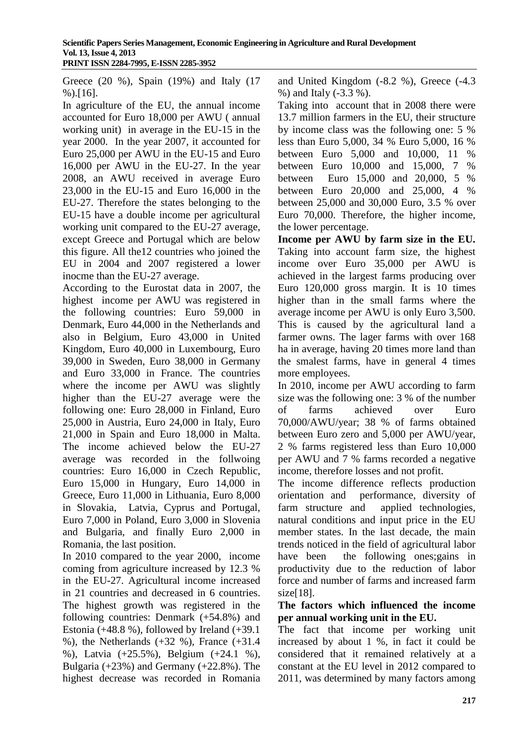Greece (20 %), Spain (19%) and Italy (17 %).[16].

In agriculture of the EU, the annual income accounted for Euro 18,000 per AWU ( annual working unit) in average in the EU-15 in the year 2000. In the year 2007, it accounted for Euro 25,000 per AWU in the EU-15 and Euro 16,000 per AWU in the EU-27. In the year 2008, an AWU received in average Euro 23,000 in the EU-15 and Euro 16,000 in the EU-27. Therefore the states belonging to the EU-15 have a double income per agricultural working unit compared to the EU-27 average, except Greece and Portugal which are below this figure. All the12 countries who joined the EU in 2004 and 2007 registered a lower inocme than the EU-27 average.

According to the Eurostat data in 2007, the highest income per AWU was registered in the following countries: Euro 59,000 in Denmark, Euro 44,000 in the Netherlands and also in Belgium, Euro 43,000 in United Kingdom, Euro 40,000 in Luxembourg, Euro 39,000 in Sweden, Euro 38,000 in Germany and Euro 33,000 in France. The countries where the income per AWU was slightly higher than the EU-27 average were the following one: Euro 28,000 in Finland, Euro 25,000 in Austria, Euro 24,000 in Italy, Euro 21,000 in Spain and Euro 18,000 in Malta. The income achieved below the EU-27 average was recorded in the follwoing countries: Euro 16,000 in Czech Republic, Euro 15,000 in Hungary, Euro 14,000 in Greece, Euro 11,000 in Lithuania, Euro 8,000 in Slovakia, Latvia, Cyprus and Portugal, Euro 7,000 in Poland, Euro 3,000 in Slovenia and Bulgaria, and finally Euro 2,000 in Romania, the last position.

In 2010 compared to the year 2000, income coming from agriculture increased by 12.3 % in the EU-27. Agricultural income increased in 21 countries and decreased in 6 countries. The highest growth was registered in the following countries: Denmark (+54.8%) and Estonia (+48.8 %), followed by Ireland (+39.1 %), the Netherlands (+32 %), France (+31.4 %), Latvia (+25.5%), Belgium (+24.1 %), Bulgaria (+23%) and Germany (+22.8%). The highest decrease was recorded in Romania and United Kingdom (-8.2 %), Greece (-4.3 %) and Italy (-3.3 %).

Taking into account that in 2008 there were 13.7 million farmers in the EU, their structure by income class was the following one: 5 % less than Euro 5,000, 34 % Euro 5,000, 16 % between Euro 5,000 and 10,000, 11 % between Euro 10,000 and 15,000, 7 % between Euro 15,000 and 20,000, 5 % between Euro 20,000 and 25,000, 4 % between 25,000 and 30,000 Euro, 3.5 % over Euro 70,000. Therefore, the higher income, the lower percentage.

**Income per AWU by farm size in the EU.**  Taking into account farm size, the highest income over Euro 35,000 per AWU is achieved in the largest farms producing over Euro 120,000 gross margin. It is 10 times higher than in the small farms where the average income per AWU is only Euro 3,500. This is caused by the agricultural land a farmer owns. The lager farms with over 168 ha in average, having 20 times more land than the smalest farms, have in general 4 times more employees.

In 2010, income per AWU according to farm size was the following one: 3 % of the number of farms achieved over Euro 70,000/AWU/year; 38 % of farms obtained between Euro zero and 5,000 per AWU/year, 2 % farms registered less than Euro 10,000 per AWU and 7 % farms recorded a negative income, therefore losses and not profit.

The income difference reflects production orientation and performance, diversity of farm structure and applied technologies, natural conditions and input price in the EU member states. In the last decade, the main trends noticed in the field of agricultural labor have been the following ones;gains in productivity due to the reduction of labor force and number of farms and increased farm size[18].

### **The factors which influenced the income per annual working unit in the EU.**

The fact that income per working unit increased by about 1 %, in fact it could be considered that it remained relatively at a constant at the EU level in 2012 compared to 2011, was determined by many factors among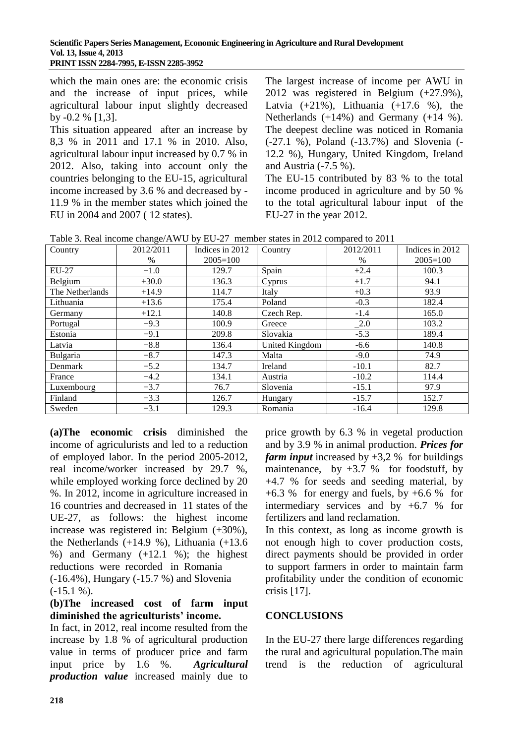which the main ones are: the economic crisis and the increase of input prices, while agricultural labour input slightly decreased by -0.2 % [1,3].

This situation appeared after an increase by 8,3 % in 2011 and 17.1 % in 2010. Also, agricultural labour input increased by 0.7 % in 2012. Also, taking into account only the countries belonging to the EU-15, agricultural income increased by 3.6 % and decreased by - 11.9 % in the member states which joined the EU in 2004 and 2007 ( 12 states).

The largest increase of income per AWU in 2012 was registered in Belgium (+27.9%), Latvia  $(+21\%)$ , Lithuania  $(+17.6\%)$ , the Netherlands (+14%) and Germany (+14 %). The deepest decline was noticed in Romania (-27.1 %), Poland (-13.7%) and Slovenia (- 12.2 %), Hungary, United Kingdom, Ireland and Austria (-7.5 %).

The EU-15 contributed by 83 % to the total income produced in agriculture and by 50 % to the total agricultural labour input of the EU-27 in the year 2012.

| Country         | 2012/2011 | Indices in 2012 | Country        | 2012/2011                   | Indices in 2012 |
|-----------------|-----------|-----------------|----------------|-----------------------------|-----------------|
|                 | $\%$      | $2005 = 100$    |                | $\%$                        | $2005 = 100$    |
| EU-27           | $+1.0$    | 129.7           | Spain          | $+2.4$                      | 100.3           |
| Belgium         | $+30.0$   | 136.3           | Cyprus         | $+1.7$                      | 94.1            |
| The Netherlands | $+14.9$   | 114.7           | Italy          | $+0.3$                      | 93.9            |
| Lithuania       | $+13.6$   | 175.4           | Poland         | $-0.3$                      | 182.4           |
| Germany         | $+12.1$   | 140.8           | Czech Rep.     | $-1.4$                      | 165.0           |
| Portugal        | $+9.3$    | 100.9           | Greece         | $\overline{\phantom{0}}2.0$ | 103.2           |
| Estonia         | $+9.1$    | 209.8           | Slovakia       | $-5.3$                      | 189.4           |
| Latvia          | $+8.8$    | 136.4           | United Kingdom | $-6.6$                      | 140.8           |
| Bulgaria        | $+8.7$    | 147.3           | Malta          | $-9.0$                      | 74.9            |
| Denmark         | $+5.2$    | 134.7           | Ireland        | $-10.1$                     | 82.7            |
| France          | $+4.2$    | 134.1           | Austria        | $-10.2$                     | 114.4           |
| Luxembourg      | $+3.7$    | 76.7            | Slovenia       | $-15.1$                     | 97.9            |
| Finland         | $+3.3$    | 126.7           | Hungary        | $-15.7$                     | 152.7           |
| Sweden          | $+3.1$    | 129.3           | Romania        | $-16.4$                     | 129.8           |

Table 3. Real income change/AWU by EU-27 member states in 2012 compared to 2011

**(a)The economic crisis** diminished the income of agriculurists and led to a reduction of employed labor. In the period 2005-2012, real income/worker increased by 29.7 %, while employed working force declined by 20 %. In 2012, income in agriculture increased in 16 countries and decreased in 11 states of the UE-27, as follows: the highest income increase was registered in: Belgium (+30%), the Netherlands  $(+14.9 %)$ , Lithuania  $(+13.6$ %) and Germany  $(+12.1 \text{ %})$ ; the highest reductions were recorded in Romania (-16.4%), Hungary (-15.7 %) and Slovenia  $(-15.1 \%)$ .

### **(b)The increased cost of farm input diminished the agriculturists' income.**

In fact, in 2012, real income resulted from the increase by 1.8 % of agricultural production value in terms of producer price and farm input price by 1.6 %. *Agricultural production value* increased mainly due to

price growth by 6.3 % in vegetal production and by 3.9 % in animal production. *Prices for farm input* increased by  $+3,2$  % for buildings maintenance, by  $+3.7$  % for foodstuff, by +4.7 % for seeds and seeding material, by  $+6.3$  % for energy and fuels, by  $+6.6$  % for intermediary services and by +6.7 % for fertilizers and land reclamation.

In this context, as long as income growth is not enough high to cover production costs, direct payments should be provided in order to support farmers in order to maintain farm profitability under the condition of economic crisis [17].

# **CONCLUSIONS**

In the EU-27 there large differences regarding the rural and agricultural population.The main trend is the reduction of agricultural